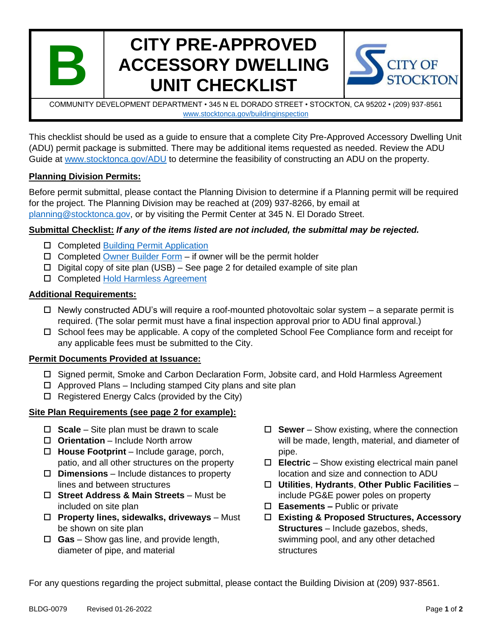

# **CITY PRE-APPROVED ACCESSORY DWELLING UNIT CHECKLIST**



COMMUNITY DEVELOPMENT DEPARTMENT • 345 N EL DORADO STREET • STOCKTON, CA 95202 • (209) 937-8561 [www.stocktonca.gov/buildinginspection](https://stocktonca-my.sharepoint.com/personal/andrea_rojas_stocktonca_gov/Documents/Desktop/www.stocktonca.gov/buildinginspection)

This checklist should be used as a guide to ensure that a complete City Pre-Approved Accessory Dwelling Unit (ADU) permit package is submitted. There may be additional items requested as needed. Review the ADU Guide at [www.stocktonca.gov/ADU](http://www.stocktonca.gov/ADU) to determine the feasibility of constructing an ADU on the property.

### **Planning Division Permits:**

Before permit submittal, please contact the Planning Division to determine if a Planning permit will be required for the project. The Planning Division may be reached at (209) 937-8266, by email at [planning@stocktonca.gov,](mailto:planning@stocktonca.gov) or by visiting the Permit Center at 345 N. El Dorado Street.

### **Submittal Checklist:** *If any of the items listed are not included, the submittal may be rejected.*

- □ Completed [Building Permit Application](mailto:http://www.stocktongov.com/files/BuildingPermitApplication.pdf)
- $\Box$  Completed [Owner Builder Form](http://www.stocktongov.com/files/Owner-Builder%20Form.pdf) if owner will be the permit holder
- $\Box$  Digital copy of site plan (USB) See page 2 for detailed example of site plan
- □ Completed [Hold Harmless Agreement](http://www.stocktongov.com/files/B_Hold_Harmless_Agreement_ADU_Plans.pdf)

### **Additional Requirements:**

- $\Box$  Newly constructed ADU's will require a roof-mounted photovoltaic solar system a separate permit is required. (The solar permit must have a final inspection approval prior to ADU final approval.)
- $\Box$  School fees may be applicable. A copy of the completed School Fee Compliance form and receipt for any applicable fees must be submitted to the City.

#### **Permit Documents Provided at Issuance:**

- □ Signed permit, Smoke and Carbon Declaration Form, Jobsite card, and Hold Harmless Agreement
- $\Box$  Approved Plans Including stamped City plans and site plan
- $\Box$  Registered Energy Calcs (provided by the City)

## **Site Plan Requirements (see page 2 for example):**

- **Scale** Site plan must be drawn to scale
- **Orientation** Include North arrow
- **House Footprint** Include garage, porch, patio, and all other structures on the property
- **Dimensions** Include distances to property lines and between structures
- **Street Address & Main Streets**  Must be included on site plan
- **Property lines, sidewalks, driveways** Must be shown on site plan
- **Gas** Show gas line, and provide length, diameter of pipe, and material
- **Sewer** Show existing, where the connection will be made, length, material, and diameter of pipe.
- **Electric** Show existing electrical main panel location and size and connection to ADU
- **Utilities**, **Hydrants**, **Other Public Facilities** include PG&E power poles on property
- **Easements –** Public or private
- **Existing & Proposed Structures, Accessory Structures** – Include gazebos, sheds, swimming pool, and any other detached structures

For any questions regarding the project submittal, please contact the Building Division at (209) 937-8561.